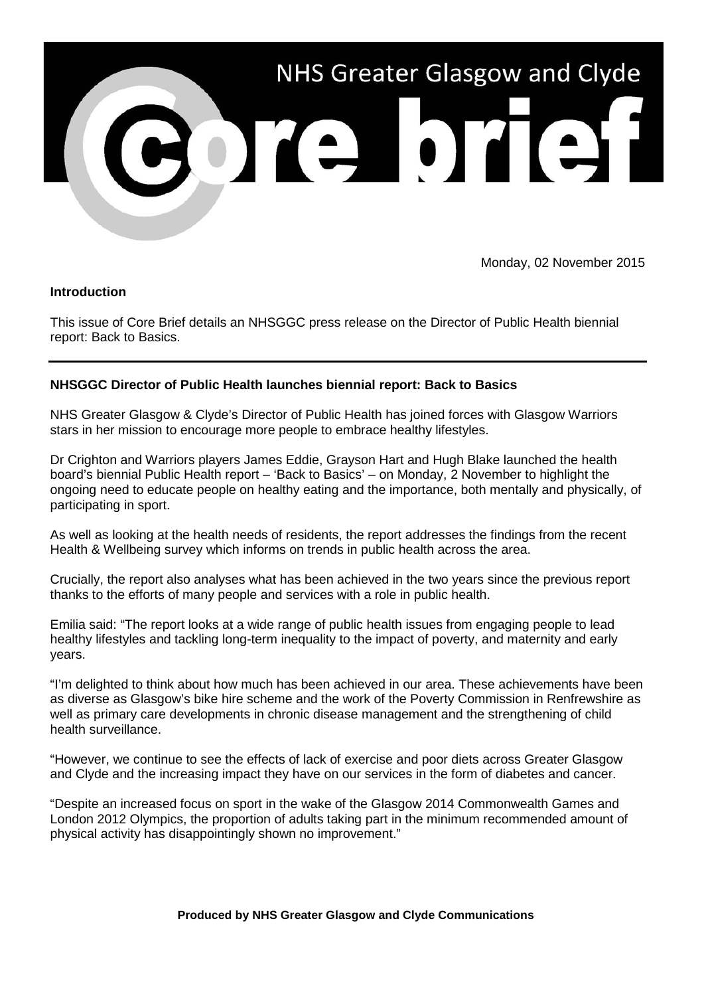

Monday, 02 November 2015

## **Introduction**

This issue of Core Brief details an NHSGGC press release on the Director of Public Health biennial report: Back to Basics.

## **NHSGGC Director of Public Health launches biennial report: Back to Basics**

NHS Greater Glasgow & Clyde's Director of Public Health has joined forces with Glasgow Warriors stars in her mission to encourage more people to embrace healthy lifestyles.

Dr Crighton and Warriors players James Eddie, Grayson Hart and Hugh Blake launched the health board's biennial Public Health report – 'Back to Basics' – on Monday, 2 November to highlight the ongoing need to educate people on healthy eating and the importance, both mentally and physically, of participating in sport.

As well as looking at the health needs of residents, the report addresses the findings from the recent Health & Wellbeing survey which informs on trends in public health across the area.

Crucially, the report also analyses what has been achieved in the two years since the previous report thanks to the efforts of many people and services with a role in public health.

Emilia said: "The report looks at a wide range of public health issues from engaging people to lead healthy lifestyles and tackling long-term inequality to the impact of poverty, and maternity and early years.

"I'm delighted to think about how much has been achieved in our area. These achievements have been as diverse as Glasgow's bike hire scheme and the work of the Poverty Commission in Renfrewshire as well as primary care developments in chronic disease management and the strengthening of child health surveillance.

"However, we continue to see the effects of lack of exercise and poor diets across Greater Glasgow and Clyde and the increasing impact they have on our services in the form of diabetes and cancer.

"Despite an increased focus on sport in the wake of the Glasgow 2014 Commonwealth Games and London 2012 Olympics, the proportion of adults taking part in the minimum recommended amount of physical activity has disappointingly shown no improvement."